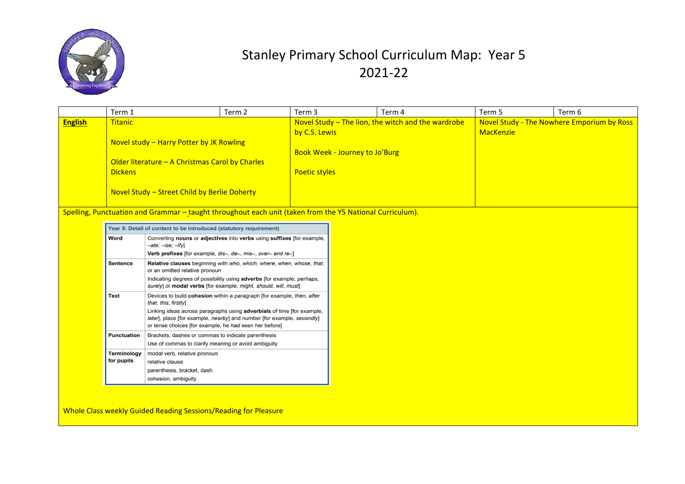

|                | Term 1                                                                                                                                                                                                                                                                      |                                                                                                                                                                                                                                                                                                              | Term 2                                                                  | Term 3                                             | Term 4           | Term 5                                     | Term 6 |
|----------------|-----------------------------------------------------------------------------------------------------------------------------------------------------------------------------------------------------------------------------------------------------------------------------|--------------------------------------------------------------------------------------------------------------------------------------------------------------------------------------------------------------------------------------------------------------------------------------------------------------|-------------------------------------------------------------------------|----------------------------------------------------|------------------|--------------------------------------------|--------|
| <b>English</b> | <b>Titanic</b><br>Novel study – Harry Potter by JK Rowling<br>Older literature - A Christmas Carol by Charles<br><b>Dickens</b><br>Novel Study - Street Child by Berlie Doherty                                                                                             |                                                                                                                                                                                                                                                                                                              | by C.S. Lewis<br>Book Week - Journey to Jo'Burg<br><b>Poetic styles</b> | Novel Study - The lion, the witch and the wardrobe | <b>MacKenzie</b> | Novel Study - The Nowhere Emporium by Ross |        |
|                | Spelling, Punctuation and Grammar - taught throughout each unit (taken from the Y5 National Curriculum).<br>Year 5: Detail of content to be introduced (statutory requirement)                                                                                              |                                                                                                                                                                                                                                                                                                              |                                                                         |                                                    |                  |                                            |        |
|                | <b>Word</b><br>Converting nouns or adjectives into verbs using suffixes [for example,<br>$-ate$ ; $-ise$ ; $-ify$ ]<br>Verb prefixes [for example, dis-, de-, mis-, over- and re-]                                                                                          |                                                                                                                                                                                                                                                                                                              |                                                                         |                                                    |                  |                                            |        |
|                | Relative clauses beginning with who, which, where, when, whose, that,<br><b>Sentence</b><br>or an omitted relative pronoun<br>Indicating degrees of possibility using adverbs [for example, perhaps,<br>surely] or modal verbs [for example, might, should, will, must]     |                                                                                                                                                                                                                                                                                                              |                                                                         |                                                    |                  |                                            |        |
|                | <b>Text</b>                                                                                                                                                                                                                                                                 | Devices to build cohesion within a paragraph [for example, then, after<br>that, this, firstly]<br>Linking ideas across paragraphs using adverbials of time [for example,<br>later], place [for example, nearby] and number [for example, secondly]<br>or tense choices [for example, he had seen her before] |                                                                         |                                                    |                  |                                            |        |
|                | Brackets, dashes or commas to indicate parenthesis<br><b>Punctuation</b><br>Use of commas to clarify meaning or avoid ambiguity<br><b>Terminology</b><br>modal verb, relative pronoun<br>for pupils<br>relative clause<br>parenthesis, bracket, dash<br>cohesion, ambiguity |                                                                                                                                                                                                                                                                                                              |                                                                         |                                                    |                  |                                            |        |
|                |                                                                                                                                                                                                                                                                             |                                                                                                                                                                                                                                                                                                              |                                                                         |                                                    |                  |                                            |        |
|                |                                                                                                                                                                                                                                                                             |                                                                                                                                                                                                                                                                                                              |                                                                         |                                                    |                  |                                            |        |

Whole Class weekly Guided Reading Sessions/Reading for Pleasure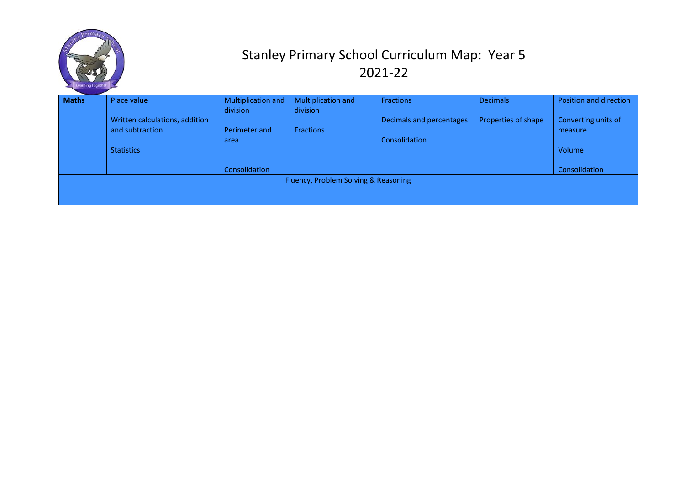

| <b>Maths</b> | Place value                    | Multiplication and | Multiplication and                   | <b>Fractions</b>         | <b>Decimals</b>     | Position and direction |
|--------------|--------------------------------|--------------------|--------------------------------------|--------------------------|---------------------|------------------------|
|              |                                | division           | division                             |                          |                     |                        |
|              | Written calculations, addition |                    |                                      | Decimals and percentages | Properties of shape | Converting units of    |
|              | and subtraction                | Perimeter and      | <b>Fractions</b>                     |                          |                     | measure                |
|              |                                | area               |                                      | Consolidation            |                     |                        |
|              | <b>Statistics</b>              |                    |                                      |                          |                     | Volume                 |
|              |                                |                    |                                      |                          |                     |                        |
|              |                                | Consolidation      |                                      |                          |                     | Consolidation          |
|              |                                |                    | Fluency, Problem Solving & Reasoning |                          |                     |                        |
|              |                                |                    |                                      |                          |                     |                        |
|              |                                |                    |                                      |                          |                     |                        |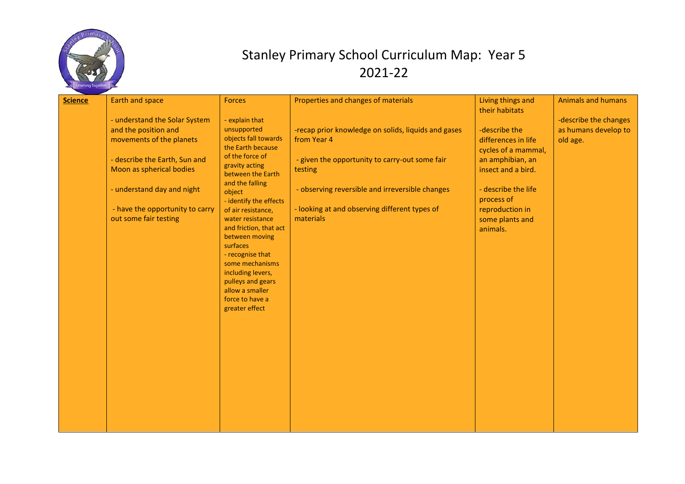

| <b>Science</b> | Earth and space                 | Forces                                     | Properties and changes of materials                 | Living things and   | <b>Animals and humans</b> |
|----------------|---------------------------------|--------------------------------------------|-----------------------------------------------------|---------------------|---------------------------|
|                |                                 |                                            |                                                     | their habitats      |                           |
|                | - understand the Solar System   | - explain that                             |                                                     |                     | -describe the changes     |
|                | and the position and            | unsupported                                | -recap prior knowledge on solids, liquids and gases | -describe the       | as humans develop to      |
|                | movements of the planets        | objects fall towards                       | from Year 4                                         | differences in life | old age.                  |
|                |                                 | the Earth because<br>of the force of       |                                                     | cycles of a mammal, |                           |
|                | - describe the Earth, Sun and   | gravity acting                             | - given the opportunity to carry-out some fair      | an amphibian, an    |                           |
|                | Moon as spherical bodies        | between the Earth                          | testing                                             | insect and a bird.  |                           |
|                |                                 | and the falling                            |                                                     |                     |                           |
|                | - understand day and night      | object                                     | - observing reversible and irreversible changes     | - describe the life |                           |
|                |                                 | - identify the effects                     |                                                     | process of          |                           |
|                | - have the opportunity to carry | of air resistance,                         | - looking at and observing different types of       | reproduction in     |                           |
|                | out some fair testing           | water resistance<br>and friction, that act | materials                                           | some plants and     |                           |
|                |                                 | between moving                             |                                                     | animals.            |                           |
|                |                                 | surfaces                                   |                                                     |                     |                           |
|                |                                 | - recognise that                           |                                                     |                     |                           |
|                |                                 | some mechanisms                            |                                                     |                     |                           |
|                |                                 | including levers,                          |                                                     |                     |                           |
|                |                                 | pulleys and gears                          |                                                     |                     |                           |
|                |                                 | allow a smaller<br>force to have a         |                                                     |                     |                           |
|                |                                 | greater effect                             |                                                     |                     |                           |
|                |                                 |                                            |                                                     |                     |                           |
|                |                                 |                                            |                                                     |                     |                           |
|                |                                 |                                            |                                                     |                     |                           |
|                |                                 |                                            |                                                     |                     |                           |
|                |                                 |                                            |                                                     |                     |                           |
|                |                                 |                                            |                                                     |                     |                           |
|                |                                 |                                            |                                                     |                     |                           |
|                |                                 |                                            |                                                     |                     |                           |
|                |                                 |                                            |                                                     |                     |                           |
|                |                                 |                                            |                                                     |                     |                           |
|                |                                 |                                            |                                                     |                     |                           |
|                |                                 |                                            |                                                     |                     |                           |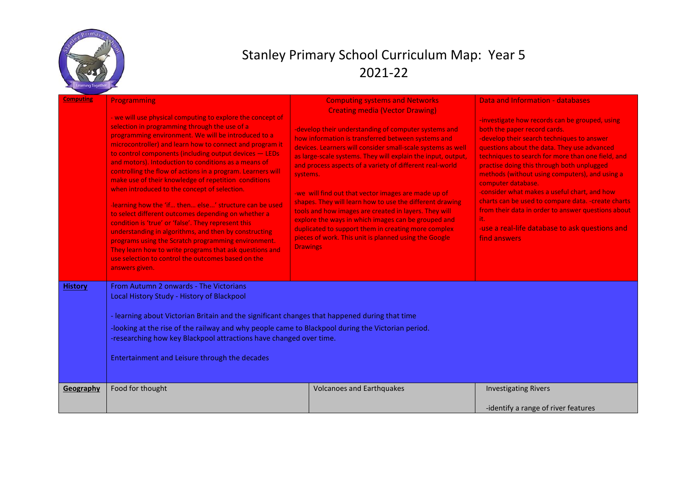

| <b>Computing</b> | Programming<br>- we will use physical computing to explore the concept of<br>selection in programming through the use of a<br>programming environment. We will be introduced to a<br>microcontroller) and learn how to connect and program it<br>to control components (including output devices - LEDs<br>and motors). Intoduction to conditions as a means of<br>controlling the flow of actions in a program. Learners will<br>make use of their knowledge of repetition conditions<br>when introduced to the concept of selection.<br>learning how the 'if then else' structure can be used<br>to select different outcomes depending on whether a<br>condition is 'true' or 'false'. They represent this<br>understanding in algorithms, and then by constructing<br>programs using the Scratch programming environment.<br>They learn how to write programs that ask questions and<br>use selection to control the outcomes based on the<br>answers given. | <b>Computing systems and Networks</b><br><b>Creating media (Vector Drawing)</b><br>-develop their understanding of computer systems and<br>how information is transferred between systems and<br>devices. Learners will consider small-scale systems as well<br>as large-scale systems. They will explain the input, output,<br>and process aspects of a variety of different real-world<br>systems.<br>-we will find out that vector images are made up of<br>shapes. They will learn how to use the different drawing<br>tools and how images are created in layers. They will<br>explore the ways in which images can be grouped and<br>duplicated to support them in creating more complex<br>pieces of work. This unit is planned using the Google<br><b>Drawings</b> | Data and Information - databases<br>-investigate how records can be grouped, using<br>both the paper record cards.<br>-develop their search techniques to answer<br>questions about the data. They use advanced<br>techniques to search for more than one field, and<br>practise doing this through both unplugged<br>methods (without using computers), and using a<br>computer database.<br>-consider what makes a useful chart, and how<br>charts can be used to compare data. - create charts<br>from their data in order to answer questions about<br>it.<br>-use a real-life database to ask questions and<br>find answers |
|------------------|------------------------------------------------------------------------------------------------------------------------------------------------------------------------------------------------------------------------------------------------------------------------------------------------------------------------------------------------------------------------------------------------------------------------------------------------------------------------------------------------------------------------------------------------------------------------------------------------------------------------------------------------------------------------------------------------------------------------------------------------------------------------------------------------------------------------------------------------------------------------------------------------------------------------------------------------------------------|----------------------------------------------------------------------------------------------------------------------------------------------------------------------------------------------------------------------------------------------------------------------------------------------------------------------------------------------------------------------------------------------------------------------------------------------------------------------------------------------------------------------------------------------------------------------------------------------------------------------------------------------------------------------------------------------------------------------------------------------------------------------------|----------------------------------------------------------------------------------------------------------------------------------------------------------------------------------------------------------------------------------------------------------------------------------------------------------------------------------------------------------------------------------------------------------------------------------------------------------------------------------------------------------------------------------------------------------------------------------------------------------------------------------|
| <b>History</b>   | From Autumn 2 onwards - The Victorians<br>Local History Study - History of Blackpool<br>- learning about Victorian Britain and the significant changes that happened during that time<br>-looking at the rise of the railway and why people came to Blackpool during the Victorian period.<br>-researching how key Blackpool attractions have changed over time.<br>Entertainment and Leisure through the decades                                                                                                                                                                                                                                                                                                                                                                                                                                                                                                                                                |                                                                                                                                                                                                                                                                                                                                                                                                                                                                                                                                                                                                                                                                                                                                                                            |                                                                                                                                                                                                                                                                                                                                                                                                                                                                                                                                                                                                                                  |
| Geography        | Food for thought                                                                                                                                                                                                                                                                                                                                                                                                                                                                                                                                                                                                                                                                                                                                                                                                                                                                                                                                                 | <b>Volcanoes and Earthquakes</b>                                                                                                                                                                                                                                                                                                                                                                                                                                                                                                                                                                                                                                                                                                                                           | <b>Investigating Rivers</b><br>-identify a range of river features                                                                                                                                                                                                                                                                                                                                                                                                                                                                                                                                                               |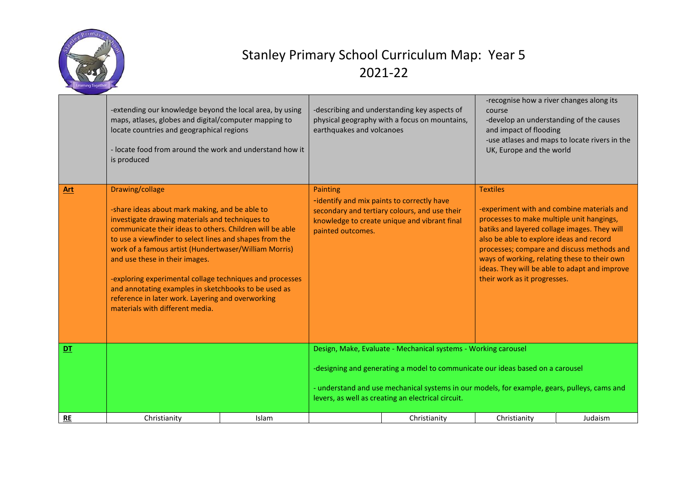

|           | -extending our knowledge beyond the local area, by using<br>maps, atlases, globes and digital/computer mapping to<br>locate countries and geographical regions<br>- locate food from around the work and understand how it<br>is produced                                                                                                                                                                                                                                                                                                          |       | -describing and understanding key aspects of<br>physical geography with a focus on mountains,<br>earthquakes and volcanoes                                                                                                                                                                             |                                                                                               | -recognise how a river changes along its<br>course<br>-develop an understanding of the causes<br>and impact of flooding<br>-use atlases and maps to locate rivers in the<br>UK, Europe and the world                                                                                                                                                                                  |         |
|-----------|----------------------------------------------------------------------------------------------------------------------------------------------------------------------------------------------------------------------------------------------------------------------------------------------------------------------------------------------------------------------------------------------------------------------------------------------------------------------------------------------------------------------------------------------------|-------|--------------------------------------------------------------------------------------------------------------------------------------------------------------------------------------------------------------------------------------------------------------------------------------------------------|-----------------------------------------------------------------------------------------------|---------------------------------------------------------------------------------------------------------------------------------------------------------------------------------------------------------------------------------------------------------------------------------------------------------------------------------------------------------------------------------------|---------|
| Art       | Drawing/collage<br>-share ideas about mark making, and be able to<br>investigate drawing materials and techniques to<br>communicate their ideas to others. Children will be able<br>to use a viewfinder to select lines and shapes from the<br>work of a famous artist (Hundertwaser/William Morris)<br>and use these in their images.<br>-exploring experimental collage techniques and processes<br>and annotating examples in sketchbooks to be used as<br>reference in later work. Layering and overworking<br>materials with different media. |       | Painting<br>-identify and mix paints to correctly have<br>painted outcomes.                                                                                                                                                                                                                            | secondary and tertiary colours, and use their<br>knowledge to create unique and vibrant final | <b>Textiles</b><br>-experiment with and combine materials and<br>processes to make multiple unit hangings,<br>batiks and layered collage images. They will<br>also be able to explore ideas and record<br>processes; compare and discuss methods and<br>ways of working, relating these to their own<br>ideas. They will be able to adapt and improve<br>their work as it progresses. |         |
| DT        |                                                                                                                                                                                                                                                                                                                                                                                                                                                                                                                                                    |       | Design, Make, Evaluate - Mechanical systems - Working carousel<br>-designing and generating a model to communicate our ideas based on a carousel<br>- understand and use mechanical systems in our models, for example, gears, pulleys, cams and<br>levers, as well as creating an electrical circuit. |                                                                                               |                                                                                                                                                                                                                                                                                                                                                                                       |         |
| <b>RE</b> | Christianity                                                                                                                                                                                                                                                                                                                                                                                                                                                                                                                                       | Islam |                                                                                                                                                                                                                                                                                                        | Christianity                                                                                  | Christianity                                                                                                                                                                                                                                                                                                                                                                          | Judaism |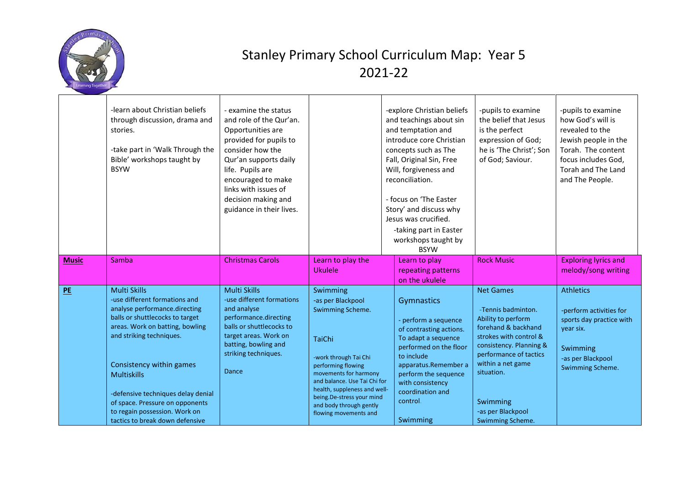

|              | -learn about Christian beliefs<br>through discussion, drama and<br>stories.<br>-take part in 'Walk Through the<br>Bible' workshops taught by<br><b>BSYW</b>                                                                                                                                                        | - examine the status<br>and role of the Qur'an.<br>Opportunities are<br>provided for pupils to<br>consider how the<br>Qur'an supports daily<br>life. Pupils are<br>encouraged to make<br>links with issues of<br>decision making and<br>guidance in their lives. |                                                                                                                                                                                                                                                                    | -explore Christian beliefs<br>and teachings about sin<br>and temptation and<br>introduce core Christian<br>concepts such as The<br>Fall, Original Sin, Free<br>Will, forgiveness and<br>reconciliation.<br>- focus on 'The Easter<br>Story' and discuss why<br>Jesus was crucified.<br>-taking part in Easter<br>workshops taught by<br><b>BSYW</b> | -pupils to examine<br>the belief that Jesus<br>is the perfect<br>expression of God;<br>he is 'The Christ'; Son<br>of God; Saviour.                                                                                | -pupils to examine<br>how God's will is<br>revealed to the<br>Jewish people in the<br>Torah. The content<br>focus includes God,<br>Torah and The Land<br>and The People. |
|--------------|--------------------------------------------------------------------------------------------------------------------------------------------------------------------------------------------------------------------------------------------------------------------------------------------------------------------|------------------------------------------------------------------------------------------------------------------------------------------------------------------------------------------------------------------------------------------------------------------|--------------------------------------------------------------------------------------------------------------------------------------------------------------------------------------------------------------------------------------------------------------------|-----------------------------------------------------------------------------------------------------------------------------------------------------------------------------------------------------------------------------------------------------------------------------------------------------------------------------------------------------|-------------------------------------------------------------------------------------------------------------------------------------------------------------------------------------------------------------------|--------------------------------------------------------------------------------------------------------------------------------------------------------------------------|
| <b>Music</b> | Samba                                                                                                                                                                                                                                                                                                              | <b>Christmas Carols</b>                                                                                                                                                                                                                                          | Learn to play the<br>Ukulele                                                                                                                                                                                                                                       | Learn to play<br>repeating patterns<br>on the ukulele                                                                                                                                                                                                                                                                                               | <b>Rock Music</b>                                                                                                                                                                                                 | <b>Exploring lyrics and</b><br>melody/song writing                                                                                                                       |
| PE           | <b>Multi Skills</b><br>-use different formations and<br>analyse performance.directing<br>balls or shuttlecocks to target<br>areas. Work on batting, bowling<br>and striking techniques.<br>Consistency within games<br><b>Multiskills</b><br>-defensive techniques delay denial<br>of space. Pressure on opponents | Multi Skills<br>-use different formations<br>and analyse<br>performance.directing<br>balls or shuttlecocks to<br>target areas. Work on<br>batting, bowling and<br>striking techniques.<br>Dance                                                                  | Swimming<br>-as per Blackpool<br>Swimming Scheme.<br><b>TaiChi</b><br>-work through Tai Chi<br>performing flowing<br>movements for harmony<br>and balance. Use Tai Chi for<br>health, suppleness and well-<br>being.De-stress your mind<br>and body through gently | Gymnastics<br>- perform a sequence<br>of contrasting actions.<br>To adapt a sequence<br>performed on the floor<br>to include<br>apparatus.Remember a<br>perform the sequence<br>with consistency<br>coordination and<br>control.                                                                                                                    | <b>Net Games</b><br>-Tennis badminton.<br>Ability to perform<br>forehand & backhand<br>strokes with control &<br>consistency. Planning &<br>performance of tactics<br>within a net game<br>situation.<br>Swimming | <b>Athletics</b><br>-perform activities for<br>sports day practice with<br>year six.<br>Swimming<br>-as per Blackpool<br>Swimming Scheme.                                |
|              | to regain possession. Work on<br>tactics to break down defensive                                                                                                                                                                                                                                                   |                                                                                                                                                                                                                                                                  | flowing movements and                                                                                                                                                                                                                                              | Swimming                                                                                                                                                                                                                                                                                                                                            | -as per Blackpool<br>Swimming Scheme.                                                                                                                                                                             |                                                                                                                                                                          |